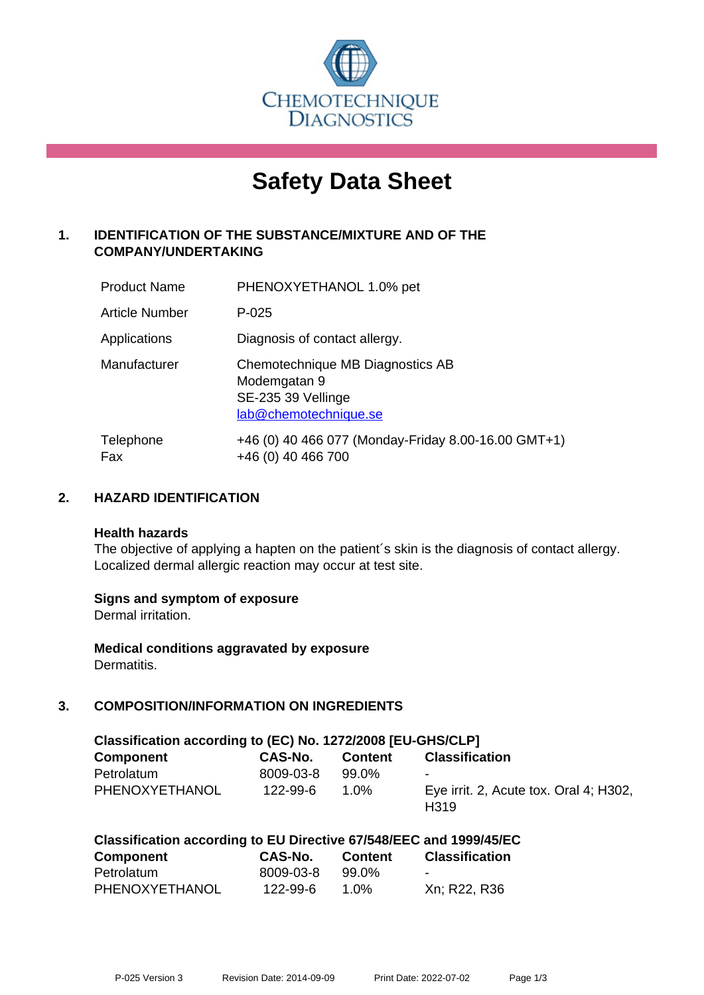

# **Safety Data Sheet**

# **1. IDENTIFICATION OF THE SUBSTANCE/MIXTURE AND OF THE COMPANY/UNDERTAKING**

| <b>Product Name</b> | PHENOXYETHANOL 1.0% pet                                                                         |
|---------------------|-------------------------------------------------------------------------------------------------|
| Article Number      | $P - 025$                                                                                       |
| Applications        | Diagnosis of contact allergy.                                                                   |
| Manufacturer        | Chemotechnique MB Diagnostics AB<br>Modemgatan 9<br>SE-235 39 Vellinge<br>lab@chemotechnique.se |
| Telephone<br>Fax    | +46 (0) 40 466 077 (Monday-Friday 8.00-16.00 GMT+1)<br>+46 (0) 40 466 700                       |

# **2. HAZARD IDENTIFICATION**

#### **Health hazards**

The objective of applying a hapten on the patient's skin is the diagnosis of contact allergy. Localized dermal allergic reaction may occur at test site.

#### **Signs and symptom of exposure**

Dermal irritation.

**Medical conditions aggravated by exposure** Dermatitis.

# **3. COMPOSITION/INFORMATION ON INGREDIENTS**

| Classification according to (EC) No. 1272/2008 [EU-GHS/CLP] |           |         |                                                            |  |  |  |
|-------------------------------------------------------------|-----------|---------|------------------------------------------------------------|--|--|--|
| <b>Component</b>                                            | CAS-No.   | Content | <b>Classification</b>                                      |  |  |  |
| Petrolatum                                                  | 8009-03-8 | 99.0%   | $\blacksquare$                                             |  |  |  |
| PHENOXYETHANOL                                              | 122-99-6  | 1.0%    | Eye irrit. 2, Acute tox. Oral 4; H302,<br>H <sub>319</sub> |  |  |  |

| <b>Component</b> | CAS-No.   | <b>Content</b> | <b>Classification</b> |
|------------------|-----------|----------------|-----------------------|
| Petrolatum       | 8009-03-8 | 99.0%          | $\sim$                |
| PHENOXYETHANOL   | 122-99-6  | 1.0%           | Xn; R22, R36          |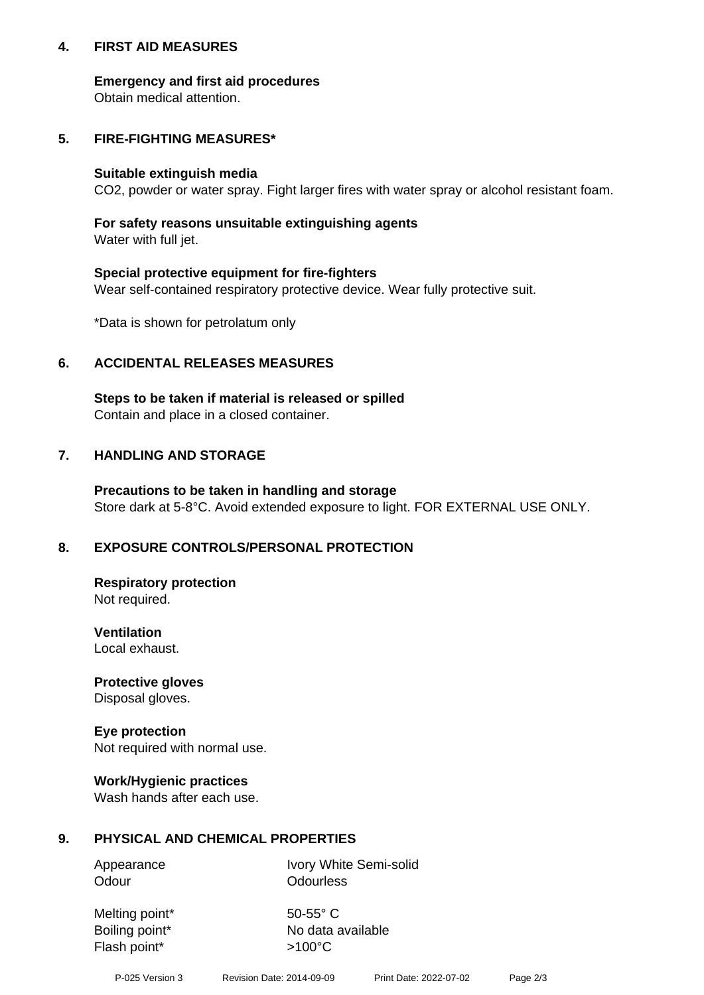# **4. FIRST AID MEASURES**

# **Emergency and first aid procedures**

Obtain medical attention.

# **5. FIRE-FIGHTING MEASURES\***

## **Suitable extinguish media**

CO2, powder or water spray. Fight larger fires with water spray or alcohol resistant foam.

# **For safety reasons unsuitable extinguishing agents**

Water with full jet.

# **Special protective equipment for fire-fighters**

Wear self-contained respiratory protective device. Wear fully protective suit.

\*Data is shown for petrolatum only

# **6. ACCIDENTAL RELEASES MEASURES**

**Steps to be taken if material is released or spilled** Contain and place in a closed container.

# **7. HANDLING AND STORAGE**

**Precautions to be taken in handling and storage** Store dark at 5-8°C. Avoid extended exposure to light. FOR EXTERNAL USE ONLY.

# **8. EXPOSURE CONTROLS/PERSONAL PROTECTION**

**Respiratory protection** Not required.

**Ventilation** Local exhaust.

**Protective gloves** Disposal gloves.

#### **Eye protection** Not required with normal use.

# **Work/Hygienic practices**

Wash hands after each use.

# **9. PHYSICAL AND CHEMICAL PROPERTIES**

Odour **Odourless** 

Appearance Ivory White Semi-solid

Melting point\* 50-55° C Flash point\*  $>100^{\circ}$ C

Boiling point\* No data available